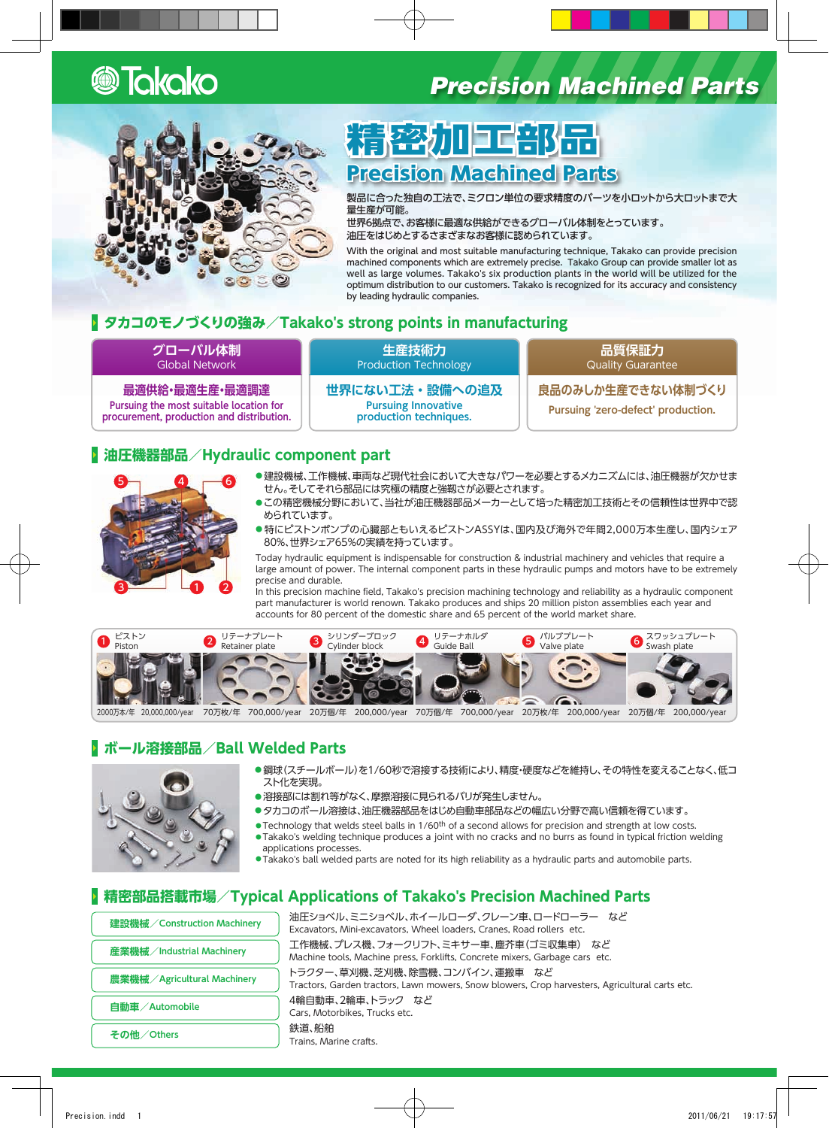

## **Precision Machined Parts**



# 精密加工部品 **Precision Machined Parts**

製品に合った独自の工法で、ミクロン単位の要求精度のパーツを小ロットから大ロットまで大 。量生産が可能

世界6拠点で、お客様に最適な供給ができるグローバル体制をとっています。 油圧をはじめとするさまざまなお客様に認められています。

With the original and most suitable manufacturing technique, Takako can provide precision machined components which are extremely precise. Takako Group can provide smaller lot as well as large volumes. Takako's six production plants in the world will be utilized for the optimum distribution to our customers. Takako is recognized for its accuracy and consistency by leading hydraulic companies.

#### **2 タカコのモノづくりの強み/Takako's strong points in manufacturing**

#### **グローバル体制 Global Network**

**最適調達・最適生産・最適供給 Pursuing the most suitable location for** procurement, production and distribution.

**生産技術力 Production Technology** 

**設備への追及・世界にない工法 Pursuing Innovative** production techniques.

**品質保証力** Quality Guarantee

**良品のみしか生産できない体制づくり**

Pursuing 'zero-defect' production.

#### **P** 油圧機器部品/Hydraulic component part



- ●建設機械、工作機械、車両など現代社会において大きなパワーを必要とするメカニズムには、油圧機器が欠かせま せん。そしてそれら部品には究極の精度と強靱さが必要とされます。
- ●この精密機械分野において、当社が油圧機器部品メーカーとして培った精密加工技術とその信頼性は世界中で認 められています。
- ●特にピストンポンプの心臓部ともいえるピストンASSYは、国内及び海外で年間2,000万本生産し、国内シェア 80%、世界シェア65%の実績を持っています。

Today hydraulic equipment is indispensable for construction & industrial machinery and vehicles that require a large amount of power. The internal component parts in these hydraulic pumps and motors have to be extremely precise and durable.

In this precision machine field, Takako's precision machining technology and reliability as a hydraulic component part manufacturer is world renown. Takako produces and ships 20 million piston assemblies each year and accounts for 80 percent of the domestic share and 65 percent of the world market share.



#### **ボール溶接部品/Ball Welded Parts**



- ●鋼球(スチールボール)を1/60秒で溶接する技術により、精度・硬度などを維持し、その特性を変えることなく、低コ 。スト化を実現
- ●溶接部には割れ等がなく、摩擦溶接に見られるバリが発生しません。
- ●タカコのボール溶接は、油圧機器部品をはじめ自動車部品などの幅広い分野で高い信頼を得ています。
- . Technology that welds steel balls in 1/60<sup>th</sup> of a second allows for precision and strength at low costs.
- Takako's welding technique produces a joint with no cracks and no burrs as found in typical friction welding applications processes.
- .<br>●Takako's ball welded parts are noted for its high reliability as a hydraulic parts and automobile parts.

#### **P 精密部品搭載市場/Typical Applications of Takako's Precision Machined Parts**

油圧ショベル、ミニショベル、ホイールローダ、クレーン車、ロードローラー など **建設機械/ Construction Machinery** Excavators, Mini-excavators, Wheel loaders, Cranes, Road rollers etc. 工作機械、プレス機、フォークリフト、ミキサー車、塵芥車(ゴミ収集車) など **Machinery Industrial/産業機械** Machine tools, Machine press, Forklifts, Concrete mixers, Garbage cars etc. トラクター、草刈機、芝刈機、除雪機、コンバイン、運搬車 など **農業機械/Agricultural Machinery** Tractors, Garden tractors, Lawn mowers, Snow blowers, Crop harvesters, Agricultural carts etc. 4輪自動車、2輪車、トラック など **自動車/Automobile** Cars, Motorbikes, Trucks etc. 鉄道、船舶 その他/Others Trains, Marine crafts.